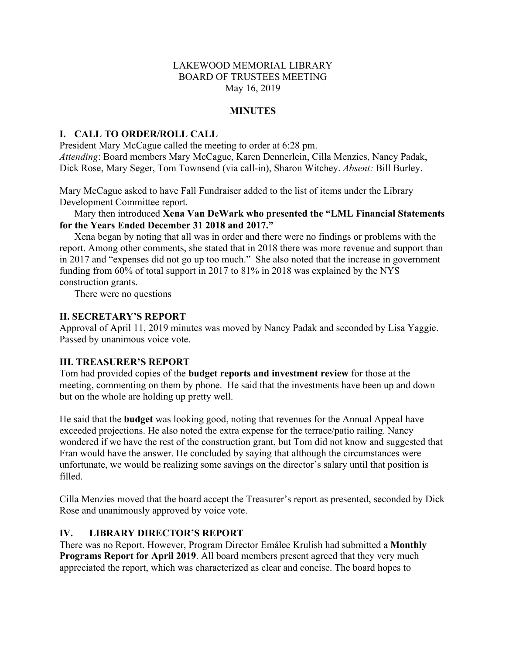## LAKEWOOD MEMORIAL LIBRARY BOARD OF TRUSTEES MEETING May 16, 2019

## **MINUTES**

## **I. CALL TO ORDER/ROLL CALL**

President Mary McCague called the meeting to order at 6:28 pm. *Attending*: Board members Mary McCague, Karen Dennerlein, Cilla Menzies, Nancy Padak, Dick Rose, Mary Seger, Tom Townsend (via call-in), Sharon Witchey. *Absent:* Bill Burley.

Mary McCague asked to have Fall Fundraiser added to the list of items under the Library Development Committee report.

Mary then introduced **Xena Van DeWark who presented the "LML Financial Statements for the Years Ended December 31 2018 and 2017."**

Xena began by noting that all was in order and there were no findings or problems with the report. Among other comments, she stated that in 2018 there was more revenue and support than in 2017 and "expenses did not go up too much." She also noted that the increase in government funding from 60% of total support in 2017 to 81% in 2018 was explained by the NYS construction grants.

There were no questions

#### **II. SECRETARY'S REPORT**

Approval of April 11, 2019 minutes was moved by Nancy Padak and seconded by Lisa Yaggie. Passed by unanimous voice vote.

#### **III. TREASURER'S REPORT**

Tom had provided copies of the **budget reports and investment review** for those at the meeting, commenting on them by phone. He said that the investments have been up and down but on the whole are holding up pretty well.

He said that the **budget** was looking good, noting that revenues for the Annual Appeal have exceeded projections. He also noted the extra expense for the terrace/patio railing. Nancy wondered if we have the rest of the construction grant, but Tom did not know and suggested that Fran would have the answer. He concluded by saying that although the circumstances were unfortunate, we would be realizing some savings on the director's salary until that position is filled.

Cilla Menzies moved that the board accept the Treasurer's report as presented, seconded by Dick Rose and unanimously approved by voice vote.

## **IV. LIBRARY DIRECTOR'S REPORT**

There was no Report. However, Program Director Emálee Krulish had submitted a **Monthly Programs Report for April 2019**. All board members present agreed that they very much appreciated the report, which was characterized as clear and concise. The board hopes to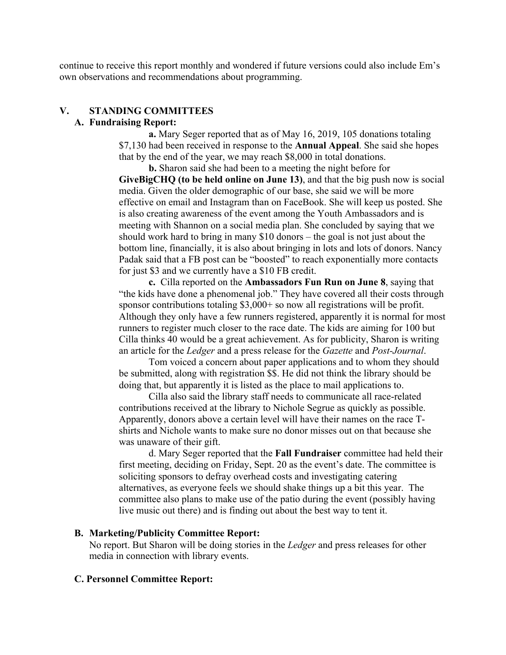continue to receive this report monthly and wondered if future versions could also include Em's own observations and recommendations about programming.

# **V. STANDING COMMITTEES**

#### **A. Fundraising Report:**

**a.** Mary Seger reported that as of May 16, 2019, 105 donations totaling \$7,130 had been received in response to the **Annual Appeal**. She said she hopes that by the end of the year, we may reach \$8,000 in total donations.

**b.** Sharon said she had been to a meeting the night before for **GiveBigCHQ (to be held online on June 13)**, and that the big push now is social media. Given the older demographic of our base, she said we will be more effective on email and Instagram than on FaceBook. She will keep us posted. She is also creating awareness of the event among the Youth Ambassadors and is meeting with Shannon on a social media plan. She concluded by saying that we should work hard to bring in many \$10 donors – the goal is not just about the bottom line, financially, it is also about bringing in lots and lots of donors. Nancy Padak said that a FB post can be "boosted" to reach exponentially more contacts for just \$3 and we currently have a \$10 FB credit.

**c.** Cilla reported on the **Ambassadors Fun Run on June 8**, saying that "the kids have done a phenomenal job." They have covered all their costs through sponsor contributions totaling \$3,000+ so now all registrations will be profit. Although they only have a few runners registered, apparently it is normal for most runners to register much closer to the race date. The kids are aiming for 100 but Cilla thinks 40 would be a great achievement. As for publicity, Sharon is writing an article for the *Ledger* and a press release for the *Gazette* and *Post-Journal*.

Tom voiced a concern about paper applications and to whom they should be submitted, along with registration \$\$. He did not think the library should be doing that, but apparently it is listed as the place to mail applications to.

Cilla also said the library staff needs to communicate all race-related contributions received at the library to Nichole Segrue as quickly as possible. Apparently, donors above a certain level will have their names on the race Tshirts and Nichole wants to make sure no donor misses out on that because she was unaware of their gift.

d. Mary Seger reported that the **Fall Fundraiser** committee had held their first meeting, deciding on Friday, Sept. 20 as the event's date. The committee is soliciting sponsors to defray overhead costs and investigating catering alternatives, as everyone feels we should shake things up a bit this year. The committee also plans to make use of the patio during the event (possibly having live music out there) and is finding out about the best way to tent it.

#### **B. Marketing/Publicity Committee Report:**

No report. But Sharon will be doing stories in the *Ledger* and press releases for other media in connection with library events.

#### **C. Personnel Committee Report:**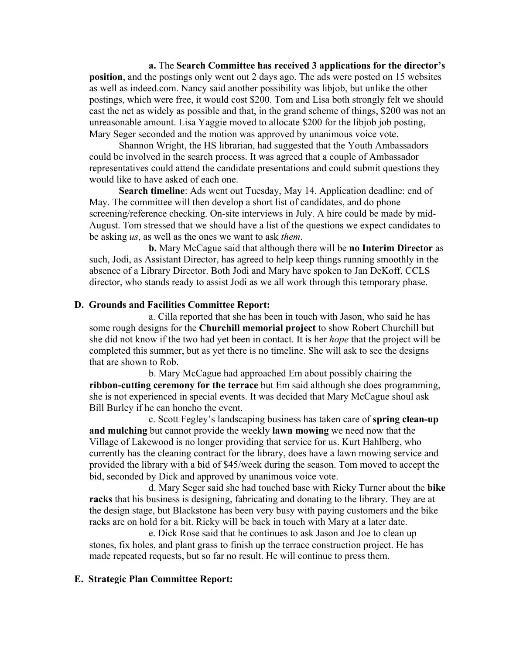**a.** The **Search Committee has received 3 applications for the director's position**, and the postings only went out 2 days ago. The ads were posted on 15 websites as well as indeed.com. Nancy said another possibility was libjob, but unlike the other postings, which were free, it would cost \$200. Tom and Lisa both strongly felt we should cast the net as widely as possible and that, in the grand scheme of things, \$200 was not an unreasonable amount. Lisa Yaggie moved to allocate \$200 for the libjob job posting, Mary Seger seconded and the motion was approved by unanimous voice vote.

Shannon Wright, the HS librarian, had suggested that the Youth Ambassadors could be involved in the search process. It was agreed that a couple of Ambassador representatives could attend the candidate presentations and could submit questions they would like to have asked of each one.

**Search timeline**: Ads went out Tuesday, May 14. Application deadline: end of May. The committee will then develop a short list of candidates, and do phone screening/reference checking. On-site interviews in July. A hire could be made by mid-August. Tom stressed that we should have a list of the questions we expect candidates to be asking *us*, as well as the ones we want to ask *them*.

**b.** Mary McCague said that although there will be **no Interim Director** as such, Jodi, as Assistant Director, has agreed to help keep things running smoothly in the absence of a Library Director. Both Jodi and Mary have spoken to Jan DeKoff, CCLS director, who stands ready to assist Jodi as we all work through this temporary phase.

## **D. Grounds and Facilities Committee Report:**

a. Cilla reported that she has been in touch with Jason, who said he has some rough designs for the **Churchill memorial project** to show Robert Churchill but she did not know if the two had yet been in contact. It is her *hope* that the project will be completed this summer, but as yet there is no timeline. She will ask to see the designs that are shown to Rob.

b. Mary McCague had approached Em about possibly chairing the **ribbon-cutting ceremony for the terrace** but Em said although she does programming, she is not experienced in special events. It was decided that Mary McCague shoul ask Bill Burley if he can honcho the event.

c. Scott Fegley's landscaping business has taken care of **spring clean-up and mulching** but cannot provide the weekly **lawn mowing** we need now that the Village of Lakewood is no longer providing that service for us. Kurt Hahlberg, who currently has the cleaning contract for the library, does have a lawn mowing service and provided the library with a bid of \$45/week during the season. Tom moved to accept the bid, seconded by Dick and approved by unanimous voice vote.

d. Mary Seger said she had touched base with Ricky Turner about the **bike racks** that his business is designing, fabricating and donating to the library. They are at the design stage, but Blackstone has been very busy with paying customers and the bike racks are on hold for a bit. Ricky will be back in touch with Mary at a later date.

e. Dick Rose said that he continues to ask Jason and Joe to clean up stones, fix holes, and plant grass to finish up the terrace construction project. He has made repeated requests, but so far no result. He will continue to press them.

#### **E. Strategic Plan Committee Report:**